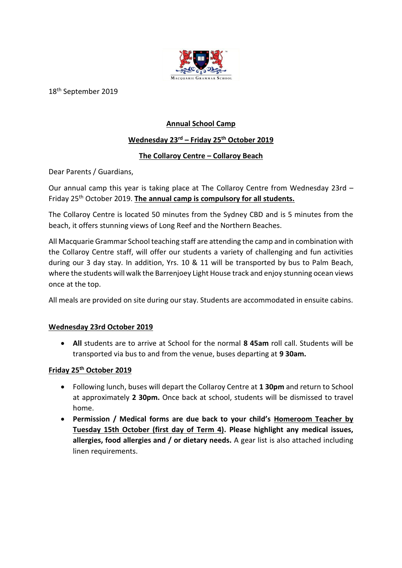

18<sup>th</sup> September 2019

# **Annual School Camp**

# **Wednesday 23rd – Friday 25th October 2019**

# **The Collaroy Centre – Collaroy Beach**

Dear Parents / Guardians,

Our annual camp this year is taking place at The Collaroy Centre from Wednesday 23rd – Friday 25th October 2019. **The annual camp is compulsory for all students.**

The Collaroy Centre is located 50 minutes from the Sydney CBD and is 5 minutes from the beach, it offers stunning views of Long Reef and the Northern Beaches.

All Macquarie Grammar School teaching staff are attending the camp and in combination with the Collaroy Centre staff, will offer our students a variety of challenging and fun activities during our 3 day stay. In addition, Yrs. 10 & 11 will be transported by bus to Palm Beach, where the students will walk the Barrenjoey Light House track and enjoy stunning ocean views once at the top.

All meals are provided on site during our stay. Students are accommodated in ensuite cabins*.*

## **Wednesday 23rd October 2019**

• **All** students are to arrive at School for the normal **8 45am** roll call. Students will be transported via bus to and from the venue, buses departing at **9 30am.**

## **Friday 25th October 2019**

- Following lunch, buses will depart the Collaroy Centre at **1 30pm** and return to School at approximately **2 30pm.** Once back at school, students will be dismissed to travel home.
- **Permission / Medical forms are due back to your child's Homeroom Teacher by Tuesday 15th October (first day of Term 4). Please highlight any medical issues, allergies, food allergies and / or dietary needs.** A gear list is also attached including linen requirements.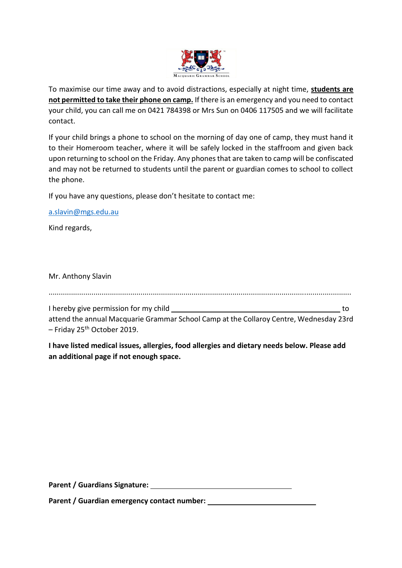

To maximise our time away and to avoid distractions, especially at night time, **students are not permitted to take their phone on camp.** If there is an emergency and you need to contact your child, you can call me on 0421 784398 or Mrs Sun on 0406 117505 and we will facilitate contact.

If your child brings a phone to school on the morning of day one of camp, they must hand it to their Homeroom teacher, where it will be safely locked in the staffroom and given back upon returning to school on the Friday. Any phones that are taken to camp will be confiscated and may not be returned to students until the parent or guardian comes to school to collect the phone.

If you have any questions, please don't hesitate to contact me:

[a.slavin@mgs.edu.au](mailto:a.slavin@mgs.edu.au)

Kind regards,

Mr. Anthony Slavin

....................................................................................................................................................

I hereby give permission for my child to the state of the state of the state of the state of the state of the state of the state of the state of the state of the state of the state of the state of the state of the state of attend the annual Macquarie Grammar School Camp at the Collaroy Centre, Wednesday 23rd

 $-$  Friday 25<sup>th</sup> October 2019.

**I have listed medical issues, allergies, food allergies and dietary needs below. Please add an additional page if not enough space.**

**Parent / Guardians Signature:** 

**Parent / Guardian emergency contact number:**